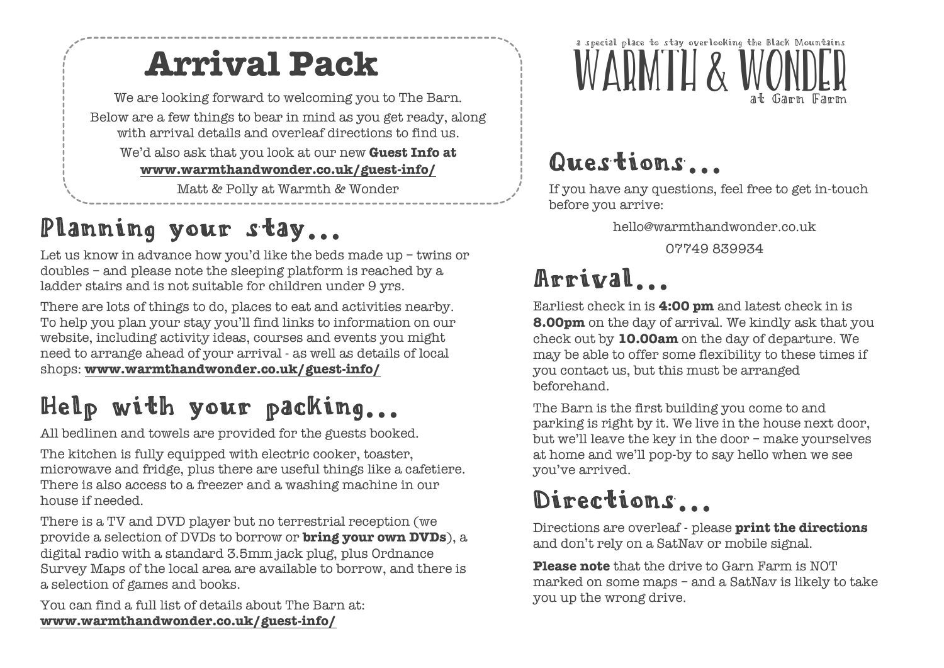# **Arrival Pack**

We are looking forward to welcoming you to The Barn. Below are a few things to bear in mind as you get ready, along with arrival details and overleaf directions to find us.

We'd also ask that you look at our new **Guest Info at www.warmthandwonder.co.uk/guest-info/**

Matt & Polly at Warmth & Wonder

## Planning your stay**…**

Let us know in advance how you'd like the beds made up – twins or doubles – and please note the sleeping platform is reached by a ladder stairs and is not suitable for children under 9 yrs.

There are lots of things to do, places to eat and activities nearby. To help you plan your stay you'll find links to information on our website, including activity ideas, courses and events you might need to arrange ahead of your arrival - as well as details of local shops: **www.warmthandwonder.co.uk/guest-info/**

## Help with your packing**…**

All bedlinen and towels are provided for the guests booked.

The kitchen is fully equipped with electric cooker, toaster, microwave and fridge, plus there are useful things like a cafetiere. There is also access to a freezer and a washing machine in our house if needed.

There is a TV and DVD player but no terrestrial reception (we provide a selection of DVDs to borrow or **bring your own DVDs**), a digital radio with a standard 3.5mm jack plug, plus Ordnance Survey Maps of the local area are available to borrow, and there is a selection of games and books.

You can find a full list of details about The Barn at: **www.warmthandwonder.co.uk/guest-info/**



#### Questions**…**

If you have any questions, feel free to get in-touch before you arrive:

hello@warmthandwonder.co.uk

07749 839934

## Arrival**…**

 $\begin{array}{c} 1 \\ 1 \\ 1 \\ 1 \end{array}$ 

Earliest check in is **4:00 pm** and latest check in is **8.00pm** on the day of arrival. We kindly ask that you check out by **10.00am** on the day of departure. We may be able to offer some flexibility to these times if you contact us, but this must be arranged beforehand.

The Barn is the first building you come to and parking is right by it. We live in the house next door, but we'll leave the key in the door – make yourselves at home and we'll pop-by to say hello when we see you've arrived.

## Directions**…**

Directions are overleaf - please **print the directions** and don't rely on a SatNav or mobile signal.

**Please note** that the drive to Garn Farm is NOT marked on some maps – and a SatNav is likely to take you up the wrong drive.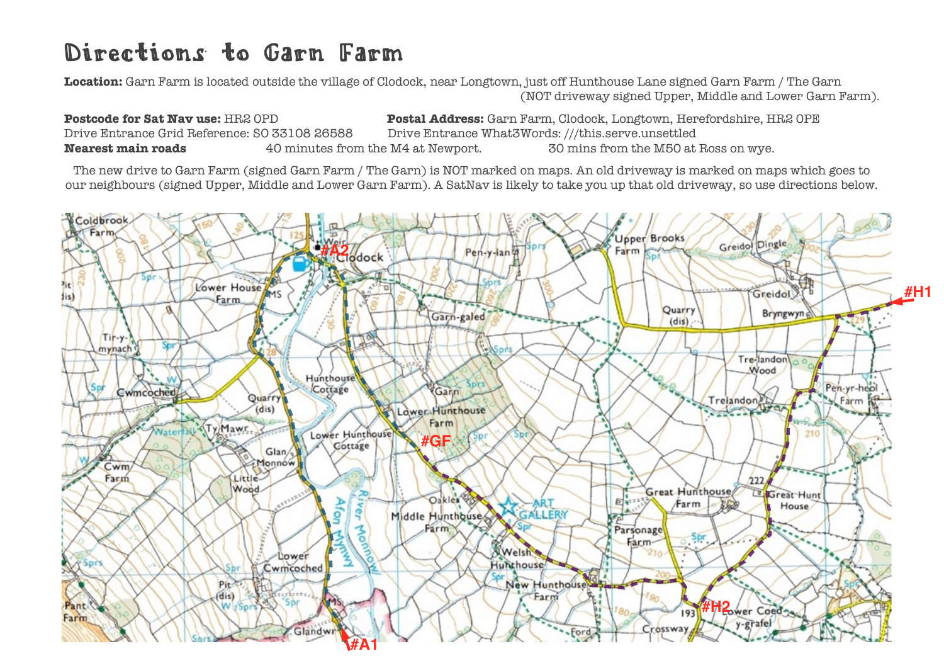#### Directions to Garn Farm

**Location:** Garn Farm is located outside the village of Clodock, near Longtown, just off Hunthouse Lane signed Garn Farm / The Garn (NOT driveway signed Upper, Middle and Lower Garn Farm).

**Postcode for Sat Nav use:** HR2 0PD **Postal Address:** Garn Farm, Clodock, Longtown, Herefordshire, HR2 0PE Drive Entrance Grid Reference: SO 33108 26588 Drive Entrance What3Words: ///this.serve.unsettled **Nearest main roads** 40 minutes from the M4 at Newport. 30 mins from the M50 at Ross on wye.

The new drive to Garn Farm (signed Garn Farm / The Garn) is NOT marked on maps. An old driveway is marked on maps which goes to our neighbours (signed Upper, Middle and Lower Garn Farm). A SatNav is likely to take you up that old driveway, so use directions below.